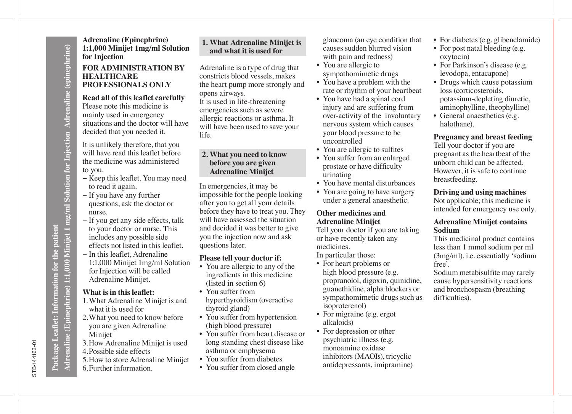**Adrenaline (Epinephrine) 1:1,000 Minijet 1 mg/ml Solution for Injection Adrenaline (epinephrine)**

drenaline (Epinephrine) 1:1,000 Minijet 1 mg/ml Solution for Injection Adrenaline (epinephrine)

**Adrenaline (Epinephrine) 1:1,000 Minijet 1mg/ml Solution for Injection**

# **FOR ADMINISTRATION BY HEALTHCARE PROFESSIONALS ONLY**

#### **Read all of this leaflet carefully** Please note this medicine is

mainly used in emergency situations and the doctor will have decided that you needed it.

It is unlikely therefore, that you will have read this leaflet before the medicine was administered to you.

- − Keep this leaflet. You may need to read it again.
- − If you have any further questions, ask the doctor or nurse.
- − If you get any side effects, talk to your doctor or nurse. This includes any possible side effects not listed in this leaflet.
- − In this leaflet, Adrenaline 1:1,000 Minijet 1mg/ml Solution for Injection will be called Adrenaline Minijet.

# **What is in this leaflet:**

- 1. What Adrenaline Minijet is and what it is used for
- 2. What you need to know before you are given Adrenaline Minijet
- 3. How Adrenaline Minijet is used
- 4. Possible side effects
- 5. How to store Adrenaline Minijet
- 6. Further information.

# **1. What Adrenaline Minijet is and what it is used for**

Adrenaline is a type of drug that constricts blood vessels, makes the heart pump more strongly and opens airways.

It is used in life-threatening emergencies such as severe allergic reactions or asthma. It will have been used to save your life.

# **2. What you need to know before you are given Adrenaline Minijet**

In emergencies, it may be impossible for the people looking after you to get all your details before they have to treat you. They will have assessed the situation and decided it was better to give you the injection now and ask questions later.

# **Please tell your doctor if:**

- You are allergic to any of the ingredients in this medicine (listed in section 6)
- You suffer from hyperthyroidism (overactive thyroid gland)
- You suffer from hypertension (high blood pressure)
- You suffer from heart disease or long standing chest disease like asthma or emphysema
- You suffer from diabetes
- You suffer from closed angle

glaucoma (an eye condition that causes sudden blurred vision with pain and redness)

- You are allergic to sympathomimetic drugs
- You have a problem with the rate or rhythm of your heartbeat
- You have had a spinal cord injury and are suffering from over-activity of the involuntary nervous system which causes your blood pressure to be uncontrolled
- You are allergic to sulfites
- You suffer from an enlarged prostate or have difficulty urinating
- You have mental disturbances
- You are going to have surgery under a general anaesthetic.

# **Other medicines and Adrenaline Minijet**

Tell your doctor if you are taking or have recently taken any medicines.

In particular those:

- For heart problems or high blood pressure (e.g. propranolol, digoxin, quinidine, guanethidine, alpha blockers or sympathomimetic drugs such as isoproterenol)
- For migraine (e.g. ergot alkaloids)
- For depression or other psychiatric illness (e.g. monoamine oxidase inhibitors (MAOIs), tricyclic antidepressants, imipramine)
- For diabetes (e.g. glibenclamide)
- For post natal bleeding (e.g. oxytocin)
- For Parkinson's disease (e.g. levodopa, entacapone)
- Drugs which cause potassium loss (corticosteroids, potassium-depleting diuretic, aminophylline, theophylline)
- General anaesthetics (e.g. halothane).

# **Pregnancy and breast feeding**

Tell your doctor if you are pregnant as the heartbeat of the unborn child can be affected. However, it is safe to continue breastfeeding.

# **Driving and using machines**

Not applicable; this medicine is intended for emergency use only.

# **Adrenaline Minijet contains Sodium**

This medicinal product contains less than 1 mmol sodium per ml (3mg/ml), i.e. essentially 'sodium free'.

Sodium metabisulfite may rarely cause hypersensitivity reactions and bronchospasm (breathing difficulties).

# STB-144163-01 STB-144163-01